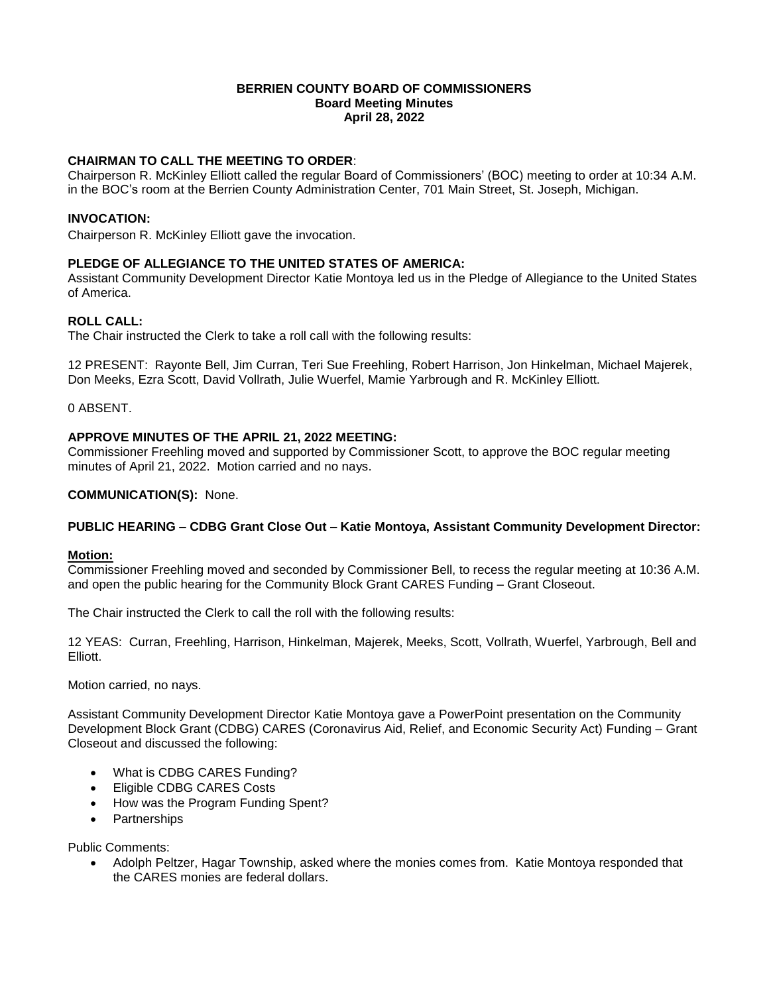#### **BERRIEN COUNTY BOARD OF COMMISSIONERS Board Meeting Minutes April 28, 2022**

# **CHAIRMAN TO CALL THE MEETING TO ORDER**:

Chairperson R. McKinley Elliott called the regular Board of Commissioners' (BOC) meeting to order at 10:34 A.M. in the BOC's room at the Berrien County Administration Center, 701 Main Street, St. Joseph, Michigan.

#### **INVOCATION:**

Chairperson R. McKinley Elliott gave the invocation.

### **PLEDGE OF ALLEGIANCE TO THE UNITED STATES OF AMERICA:**

Assistant Community Development Director Katie Montoya led us in the Pledge of Allegiance to the United States of America.

### **ROLL CALL:**

The Chair instructed the Clerk to take a roll call with the following results:

12 PRESENT: Rayonte Bell, Jim Curran, Teri Sue Freehling, Robert Harrison, Jon Hinkelman, Michael Majerek, Don Meeks, Ezra Scott, David Vollrath, Julie Wuerfel, Mamie Yarbrough and R. McKinley Elliott.

0 ABSENT.

### **APPROVE MINUTES OF THE APRIL 21, 2022 MEETING:**

Commissioner Freehling moved and supported by Commissioner Scott, to approve the BOC regular meeting minutes of April 21, 2022. Motion carried and no nays.

**COMMUNICATION(S):** None.

### **PUBLIC HEARING – CDBG Grant Close Out – Katie Montoya, Assistant Community Development Director:**

### **Motion:**

Commissioner Freehling moved and seconded by Commissioner Bell, to recess the regular meeting at 10:36 A.M. and open the public hearing for the Community Block Grant CARES Funding – Grant Closeout.

The Chair instructed the Clerk to call the roll with the following results:

12 YEAS: Curran, Freehling, Harrison, Hinkelman, Majerek, Meeks, Scott, Vollrath, Wuerfel, Yarbrough, Bell and Elliott.

Motion carried, no nays.

Assistant Community Development Director Katie Montoya gave a PowerPoint presentation on the Community Development Block Grant (CDBG) CARES (Coronavirus Aid, Relief, and Economic Security Act) Funding – Grant Closeout and discussed the following:

- What is CDBG CARES Funding?
- Eligible CDBG CARES Costs
- How was the Program Funding Spent?
- Partnerships

Public Comments:

 Adolph Peltzer, Hagar Township, asked where the monies comes from. Katie Montoya responded that the CARES monies are federal dollars.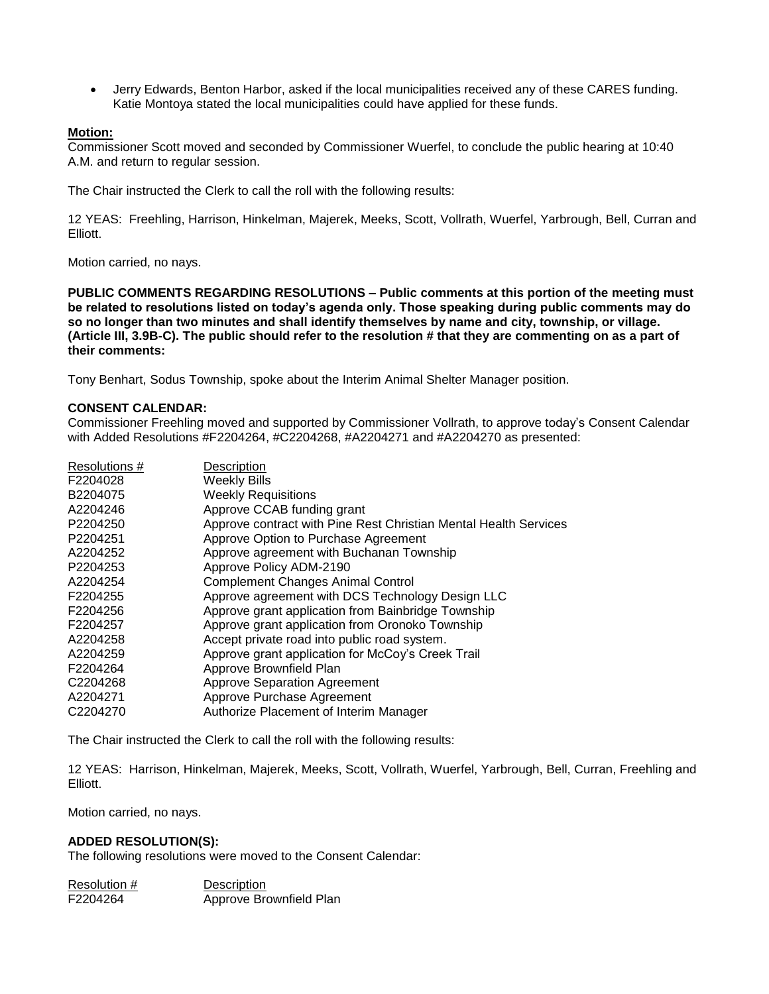Jerry Edwards, Benton Harbor, asked if the local municipalities received any of these CARES funding. Katie Montoya stated the local municipalities could have applied for these funds.

### **Motion:**

Commissioner Scott moved and seconded by Commissioner Wuerfel, to conclude the public hearing at 10:40 A.M. and return to regular session.

The Chair instructed the Clerk to call the roll with the following results:

12 YEAS: Freehling, Harrison, Hinkelman, Majerek, Meeks, Scott, Vollrath, Wuerfel, Yarbrough, Bell, Curran and Elliott.

Motion carried, no nays.

**PUBLIC COMMENTS REGARDING RESOLUTIONS – Public comments at this portion of the meeting must be related to resolutions listed on today's agenda only. Those speaking during public comments may do so no longer than two minutes and shall identify themselves by name and city, township, or village. (Article III, 3.9B-C). The public should refer to the resolution # that they are commenting on as a part of their comments:** 

Tony Benhart, Sodus Township, spoke about the Interim Animal Shelter Manager position.

### **CONSENT CALENDAR:**

Commissioner Freehling moved and supported by Commissioner Vollrath, to approve today's Consent Calendar with Added Resolutions #F2204264, #C2204268, #A2204271 and #A2204270 as presented:

| Resolutions #        | Description                                                      |
|----------------------|------------------------------------------------------------------|
| F2204028             | <b>Weekly Bills</b>                                              |
| B2204075             | <b>Weekly Requisitions</b>                                       |
| A2204246             | Approve CCAB funding grant                                       |
| P2204250             | Approve contract with Pine Rest Christian Mental Health Services |
| P2204251             | Approve Option to Purchase Agreement                             |
| A2204252             | Approve agreement with Buchanan Township                         |
| P2204253             | Approve Policy ADM-2190                                          |
| A2204254             | <b>Complement Changes Animal Control</b>                         |
| F2204255             | Approve agreement with DCS Technology Design LLC                 |
| F2204256             | Approve grant application from Bainbridge Township               |
| F2204257             | Approve grant application from Oronoko Township                  |
| A2204258             | Accept private road into public road system.                     |
| A2204259             | Approve grant application for McCoy's Creek Trail                |
| F2204264             | Approve Brownfield Plan                                          |
| C <sub>2204268</sub> | <b>Approve Separation Agreement</b>                              |
| A2204271             | Approve Purchase Agreement                                       |
| C <sub>2204270</sub> | Authorize Placement of Interim Manager                           |

The Chair instructed the Clerk to call the roll with the following results:

12 YEAS: Harrison, Hinkelman, Majerek, Meeks, Scott, Vollrath, Wuerfel, Yarbrough, Bell, Curran, Freehling and Elliott.

Motion carried, no nays.

### **ADDED RESOLUTION(S):**

The following resolutions were moved to the Consent Calendar:

| Resolution # | Description             |
|--------------|-------------------------|
| F2204264     | Approve Brownfield Plan |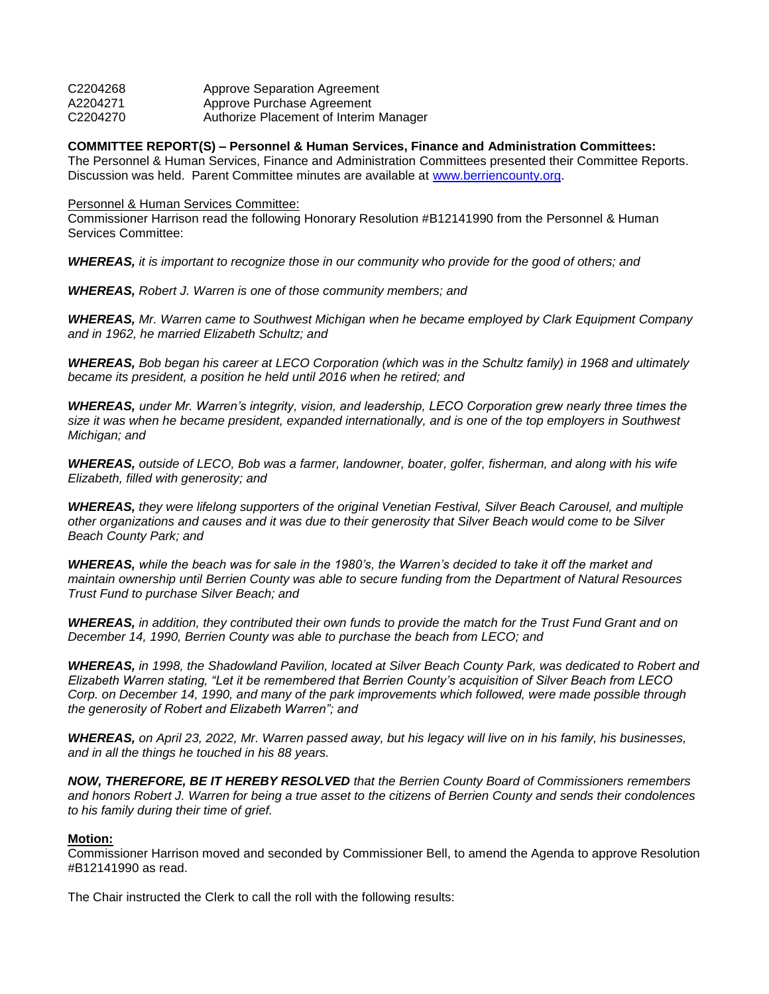| C2204268 | <b>Approve Separation Agreement</b>    |
|----------|----------------------------------------|
| A2204271 | Approve Purchase Agreement             |
| C2204270 | Authorize Placement of Interim Manager |

**COMMITTEE REPORT(S) – Personnel & Human Services, Finance and Administration Committees:**

The Personnel & Human Services, Finance and Administration Committees presented their Committee Reports. Discussion was held. Parent Committee minutes are available at [www.berriencounty.org.](http://www.berriencounty.org/)

#### Personnel & Human Services Committee:

Commissioner Harrison read the following Honorary Resolution #B12141990 from the Personnel & Human Services Committee:

*WHEREAS, it is important to recognize those in our community who provide for the good of others; and* 

*WHEREAS, Robert J. Warren is one of those community members; and* 

*WHEREAS, Mr. Warren came to Southwest Michigan when he became employed by Clark Equipment Company and in 1962, he married Elizabeth Schultz; and* 

*WHEREAS, Bob began his career at LECO Corporation (which was in the Schultz family) in 1968 and ultimately became its president, a position he held until 2016 when he retired; and* 

*WHEREAS, under Mr. Warren's integrity, vision, and leadership, LECO Corporation grew nearly three times the size it was when he became president, expanded internationally, and is one of the top employers in Southwest Michigan; and* 

*WHEREAS, outside of LECO, Bob was a farmer, landowner, boater, golfer, fisherman, and along with his wife Elizabeth, filled with generosity; and*

*WHEREAS, they were lifelong supporters of the original Venetian Festival, Silver Beach Carousel, and multiple other organizations and causes and it was due to their generosity that Silver Beach would come to be Silver Beach County Park; and* 

*WHEREAS, while the beach was for sale in the 1980's, the Warren's decided to take it off the market and maintain ownership until Berrien County was able to secure funding from the Department of Natural Resources Trust Fund to purchase Silver Beach; and* 

*WHEREAS, in addition, they contributed their own funds to provide the match for the Trust Fund Grant and on December 14, 1990, Berrien County was able to purchase the beach from LECO; and* 

*WHEREAS, in 1998, the Shadowland Pavilion, located at Silver Beach County Park, was dedicated to Robert and Elizabeth Warren stating, "Let it be remembered that Berrien County's acquisition of Silver Beach from LECO Corp. on December 14, 1990, and many of the park improvements which followed, were made possible through the generosity of Robert and Elizabeth Warren"; and* 

*WHEREAS, on April 23, 2022, Mr. Warren passed away, but his legacy will live on in his family, his businesses, and in all the things he touched in his 88 years.* 

*NOW, THEREFORE, BE IT HEREBY RESOLVED that the Berrien County Board of Commissioners remembers and honors Robert J. Warren for being a true asset to the citizens of Berrien County and sends their condolences to his family during their time of grief.* 

### **Motion:**

Commissioner Harrison moved and seconded by Commissioner Bell, to amend the Agenda to approve Resolution #B12141990 as read.

The Chair instructed the Clerk to call the roll with the following results: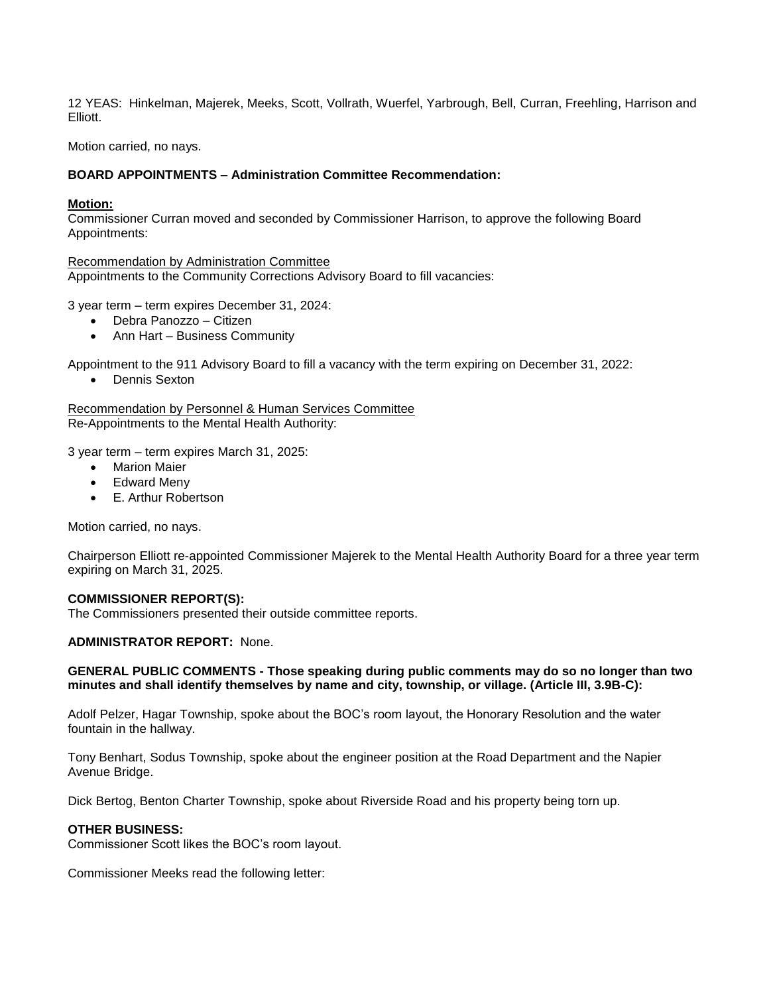12 YEAS: Hinkelman, Majerek, Meeks, Scott, Vollrath, Wuerfel, Yarbrough, Bell, Curran, Freehling, Harrison and **Flliott** 

Motion carried, no nays.

### **BOARD APPOINTMENTS – Administration Committee Recommendation:**

#### **Motion:**

Commissioner Curran moved and seconded by Commissioner Harrison, to approve the following Board Appointments:

Recommendation by Administration Committee Appointments to the Community Corrections Advisory Board to fill vacancies:

3 year term – term expires December 31, 2024:

- Debra Panozzo Citizen
- Ann Hart Business Community

Appointment to the 911 Advisory Board to fill a vacancy with the term expiring on December 31, 2022:

• Dennis Sexton

Recommendation by Personnel & Human Services Committee Re-Appointments to the Mental Health Authority:

3 year term – term expires March 31, 2025:

- Marion Maier
- Edward Meny
- E. Arthur Robertson

Motion carried, no nays.

Chairperson Elliott re-appointed Commissioner Majerek to the Mental Health Authority Board for a three year term expiring on March 31, 2025.

#### **COMMISSIONER REPORT(S):**

The Commissioners presented their outside committee reports.

## **ADMINISTRATOR REPORT:** None.

#### **GENERAL PUBLIC COMMENTS - Those speaking during public comments may do so no longer than two minutes and shall identify themselves by name and city, township, or village. (Article III, 3.9B-C):**

Adolf Pelzer, Hagar Township, spoke about the BOC's room layout, the Honorary Resolution and the water fountain in the hallway.

Tony Benhart, Sodus Township, spoke about the engineer position at the Road Department and the Napier Avenue Bridge.

Dick Bertog, Benton Charter Township, spoke about Riverside Road and his property being torn up.

## **OTHER BUSINESS:**

Commissioner Scott likes the BOC's room layout.

Commissioner Meeks read the following letter: